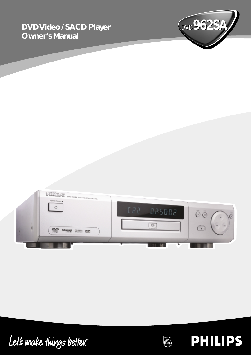# **Owner's Manual**





Let's make things better.



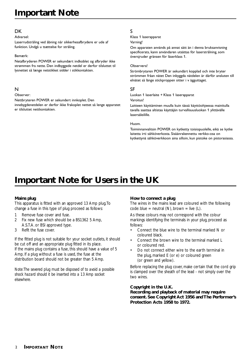# **Important Note**

#### **DK**

#### Advarsel:

Laserrudstråling ved åbning når sikkerhesafbrydere er ude af funktion. Undgå u tsættelse for stråling.

#### Bemærk:

Netafbryderen POWER er sekundært indkoblet og afbryder ikke strømmen fra nette. Den indbyggede netdel er derfor tilsluttet til lysnettet så længe netstikket sidder i stikkontakten.

### N

#### Observer:

Nettbryteren POWER er sekundert innkoplet. Den

innebygdenetdelen er derfor ikke frakoplet nettet så lenge apparatet er tilsluttet nettkontakten.

### S

Klass 1 laserapparat

#### Varning!

Om apparaten används på annat sätt än i denna bruksanvisning specificerats, kann användaren utsättas för laserstrålning, som översjruder gränsen för läserklass 1.

#### Observera!

Strömbrytaren POWER är sekundärt kopplad och inte bryter strömmen fråan nätet Den inbyggda nätdelen är därför ansluten till elnätet så länge stickproppen sitter i v ägguttaget.

#### SF

Luokan 1 laserlaite + Klass 1 laserapparat Varoitus!

Laitteen käyttäminen muulla kuin tässä käyttöohjeessa mainitulla tavalla saattaa altistaa käyttäjän turvallisuusluokan 1 ylittävälle lasersäleilille.

#### Huom.

Toiminnanvalitsin POWER on kytketty toisiopuolelle, eikä se kytke laitetta irti sähköverkosta. Sisäänrakennettu verkko-osa on kytkettynä sähköverkkoon aina silloin, kun pistoke on pistorasiassa.

# **Important Note for Users in the UK**

### **Mains plug**

This apparatus is fitted with an approved 13 Amp plug.To change a fuse in this type of plug proceed as follows:

- 1 Remove fuse cover and fuse.
- 2 Fix new fuse which should be a BS1362 5 Amp, A.S.T.A. or BSI approved type.
- 3 Refit the fuse cover.

If the fitted plug is not suitable for your socket outlets, it should be cut off and an appropriate plug fitted in its place. If the mains plug contains a fuse, this should have a value of 5 Amp. If a plug without a fuse is used, the fuse at the distribution board should not be greater than 5 Amp.

*Note:The severed plug must be disposed of to avoid a possible shock hazard should it be inserted into a 13 Amp socket elsewhere.*

#### **How to connect a plug**

The wires in the mains lead are coloured with the following code: blue = neutral  $(N)$ , brown = live  $(L)$ .

As these colours may not correspond with the colour markings identifying the terminals in your plug, proceed as follows:

- Connect the blue wire to the terminal marked N or coloured black.
- Connect the brown wire to the terminal marked L or coloured red.
- Do not connect either wire to the earth terminal in the plug, marked E (or e) or coloured green (or green and yellow).

Before replacing the plug cover, make certain that the cord grip is clamped over the sheath of the lead - not simply over the two wires.

#### **Copyright in the U.K.**

**Recording and playback of material may require consent. See Copyright Act 1956 and The Performer's Protection Acts 1958 to 1972.**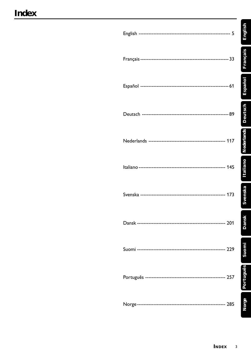English

Français

Español

Deutsch

**Nederlands** 

Italiano

Svenska

Dansk

Suomi

Português

Norge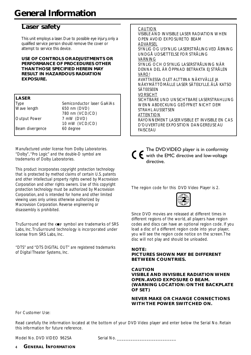# **Laser safety**

This unit employs a laser. Due to possible eye injury, only a qualified service person should remove the cover or attempt to service this device.

#### **USE OF CONTROLS OR ADJUSTMENTS OR PERFORMANCE OF PROCEDURES OTHER THAN THOSE SPECIFIED HEREIN MAY RESULT IN HAZARDOUS RADIATION EXPOSURE.**

### **LASER**

| Type            | Semiconductor laser GaAIAs |
|-----------------|----------------------------|
| Wave length     | 650 nm (DVD)               |
|                 | 780 nm (VCD/CD)            |
| Output Power    | 7 mW (DVD)                 |
|                 | 10 mW (VCD/CD)             |
| Beam divergence | 60 degree                  |
|                 |                            |

*Manufactured under license from Dolby Laboratories. "Dolby", "Pro Logic" and the double-D symbol are trademarks of Dolby Laboratories.*

*This product incorporates copyright protection technology that is protected by method claims of certain U.S. patents and other intellectual property rights owned by Macrovision Corporation and other rights owners. Use of this copyright protection technology must be authorized by Macrovision Corporation, and is intended for home and other limited viewing uses only unless otherwise authorized by Macrovision Corporation. Reverse engineering or disassembly is prohibited.*

TruSurround and the  $\text{CD}^*$  symbol are trademarks of SRS Labs, Inc. TruSurround technology is incorporated under license from SRS Labs, Inc.

*"DTS" and "DTS DIGITAL OUT" are registered trademarks of Digital Theater Systems, Inc.*

#### CAUTION VISIBLE AND INVISIBLE LASER RADIATION WHEN OPEN AVOID EXPOSURE TO BEAM ADVARSEL SYNLIG OG USYNLIG LASERSTRÅLING VED ÅBNING UNDGÅ UDSÆTTELSE FOR STRÅLING VARNING SYNLIG OCH OSYNLIG LASERSTRÅLNING NÄR DENNA DEL ÄR ÖPPNAD BETRAKTA EJ STRÅLEN VARO! AVATTAESSA OLET ALTTIINA NÄKYVÄLLE JA NÄKYMÄTTÖMÄLLE LASER SÄTEILYLLE. ÄLÄ KATSO SÄTEESEEN VORSICHT SICHTBARE UND UNSICHTBARE LASERSTRAHLUNG WENN ABDECKUNG GEÖFFNET NICHT DEM STRAHL AUSSETSEN ATTENTION RAYONNEMENT LASER VISIBLE ET INVISIBLE EN CAS D'OUVERTURE EXPOSITION DANGEREUSE AU FAISCEAU

|  | The DVD VIDEO p    |
|--|--------------------|
|  | with the EMC dired |
|  | directive.         |

layer is in conformity ctive and low-voltage directive.

The region code for this DVD Video Player is 2.



Since DVD movies are released at different times in different regions of the world, all players have region codes and discs can have an optional region code. If you load a disc of a different region code into your player, you will see the region code notice on the screen. The disc will not play and should be unloaded.

### **NOTE:**

### **PICTURES SHOWN MAY BE DIFFERENT BETWEEN COUNTRIES.**

**CAUTION VISIBLE AND INVISIBLE RADIATION WHEN OPEN. AVOID EXPOSURE O BEAM. (WARNING LOCATION: ON THE BACKPLATE OF SET)**

#### **NEVER MAKE OR CHANGE CONNECTIONS WITH THE POWER SWITCHED ON.**

For Customer Use:

Read carefully the information located at the bottom of your DVD Video player and enter below the Serial No. Retain this information for future reference.

Model No. DVD VIDEO 962SA Serial No.

#### 4 **GENERAL INFORMATION**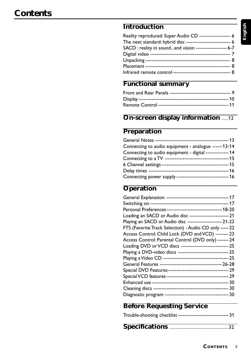| Reality reproduced: Super Audio CD ------------------- 6      |  |
|---------------------------------------------------------------|--|
| The next standard: hybrid disc --------------------------- 6  |  |
| SACD : reality in soundand vision -------------------- 6-7    |  |
|                                                               |  |
|                                                               |  |
|                                                               |  |
| Infrared remote control ----------------------------------- 8 |  |

# **Functional summary**

# **On-screen display information** .....12

# **Preparation**

| Connecting to audio equipment - analogue ------13-14        |  |
|-------------------------------------------------------------|--|
| Connecting to audio equipment - digital -------------- 14   |  |
|                                                             |  |
|                                                             |  |
|                                                             |  |
| Connecting power supply -------------------------------- 16 |  |

# **Operation**

| Personal Preferences---------------------------------- 18-20 |  |
|--------------------------------------------------------------|--|
| Loading an SACD or Audio disc ------------------------ 21    |  |
| Playing an SACD or Audio disc ---------------------21-22     |  |
| FTS (Favorite Track Selection) - Audio CD only ----- 22      |  |
| Access Control: Child Lock (DVD and VCD) -------- 23         |  |
| Access Control: Parental Control (DVD only) ------- 24       |  |
| Loading DVD or VCD discs ---------------------------- 25     |  |
| Playing a DVD-video discs ------------------------------- 25 |  |
|                                                              |  |
|                                                              |  |
|                                                              |  |
|                                                              |  |
|                                                              |  |
|                                                              |  |
|                                                              |  |
|                                                              |  |

# **Before Requesting Service**

|  | Trouble-shooting checklist ------------------------------- 31 |
|--|---------------------------------------------------------------|
|--|---------------------------------------------------------------|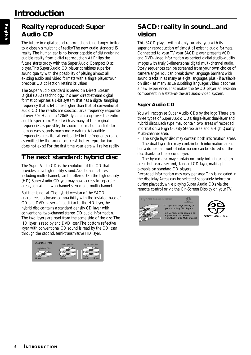# **Reality reproduced: Super Audio CD**

The future in digital sound reproduction is no longer limited to a closely simulating of reality. The new audio standard IS reality! The human ear is no longer capable of distinguishing audible reality from digital reproduction. At Philips the future starts today with the Super Audio Compact Disc player. This Super Audio CD player combines superior sound quality with the possibility of playing almost all existing audio and video formats with a single player. Your precious CD collection retains its value!

The Super Audio standard is based on Direct Stream Digital (DSD) technology. This new direct-stream digital format comprises a 1-bit system that has a digital sampling frequency that is 64 times higher than that of conventional audio CD. The results are spectacular: a frequency response of over 50k Hz and a 120dB dynamic range over the entire audible spectrum. Mixed with as many of the original frequencies as possible, the audio information audible for human ears sounds much more natural. All audible frequencies are, after all, embedded in the frequency range as emitted by the sound source. A better reproduction does not exist! For the first time your ears will relive reality.

# **The next standard: hybrid disc**

The Super Audio CD is the evolution of the CD that provides ultra-high-quality sound. Additional features, including multi-channel, can be offered. On the high density (HD) Super Audio CD you may have access to separate areas, containing two-channel stereo and multi-channel.

But that is not all! The hybrid version of the SACD guarantees backward compatibility with the installed base of CD and DVD players. In addition to the HD layer, the hybrid disc contains a standard density CD layer with conventional two-channel stereo CD audio information. The two layers are read from the same side of the disc. The HD layer is read by and DVD laser. The bottom reflective layer with conventional CD sound is read by the CD laser through the second, semi-transmissive HD layer.



# **SACD: reality in sound...and vision**

This SACD player will not only surprise you with its superior reproduction of almost all existing audio formats. Connected to your TV, your SACD player presents VCD and DVD-video information as perfect digital studio-quality images with truly 3-dimensional digital multi-channel audio. Story sequences can be screened from your own choice of camera angle. You can break down language barriers with sound tracks in as many as eight languages, plus - if available on disc - as many as 16 subtitling languages. Video becomes a new experience. That makes the SACD player an essential component in a state-of-the-art audio-video system.

# **Super Audio CD**

You will recognize Super Audio CDs by the logo. There are three types of Super Audio CDs: single-layer, dual-layer and hybrid discs. Each type may contain two areas of recorded information: a High Quality Stereo area and a High Quality Multi-channel area.

- The single layer disc may contain both information areas.
- The dual layer disc may contain both information areas but a double amount of information can be stored on the disc thanks to the second layer.

– The hybrid disc may contain not only both information areas but also a second, standard CD layer, making it playable on standard CD players.

Recorded information may vary per area. This is indicated in the disc inlay. Areas can be selected separately before or during playback, while playing Super Audio CDs via the remote control or via the On-Screen Display on your TV.



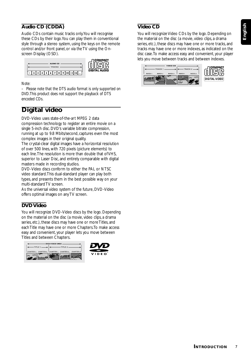# **Audio CD (CDDA)**

Audio CDs contain music tracks only. You will recognise these CDs by their logo. You can play them in conventional style through a stereo system, using the keys on the remote control and/or front panel, or via the TV using the Onscreen Display (OSD).



#### *Note:*

*– Please note that the DTS audio format is only supported on DVD. This product does not support the playback of DTS encoded CDs.*

# **Digital video**

DVD-Video uses state-of-the-art MPEG 2 data compression technology to register an entire movie on a single 5-inch disc. DVD's variable bitrate compression, running at up to 9.8 Mbits/second, captures even the most complex images in their original quality.

The crystal-clear digital images have a horizontal resolution of over 500 lines, with 720 pixels (picture elements) to each line. The resolution is more than double that of VHS, superior to Laser Disc, and entirely comparable with digital masters made in recording studios.

DVD-Video discs conform to either the PAL or NTSC video standard. This dual-standard player can play both types, and presents them in the best possible way on your multi-standard TV screen.

As the universal video system of the future, DVD-Video offers optimal images on any TV screen.

# **DVD Video**

You will recognize DVD-Video discs by the logo. Depending on the material on the disc (a movie, video clips, a drama series, etc.), these discs may have one or more Titles, and each Title may have one or more Chapters. To make access easy and convenient, your player lets you move between Titles and between Chapters.





# **Video CD**

You will recognize Video CDs by the logo. Depending on the material on the disc (a movie, video clips, a drama series, etc.), these discs may have one or more tracks, and tracks may have one or more indexes, as indicated on the disc case. To make access easy and convenient, your player lets you move between tracks and between indexes.

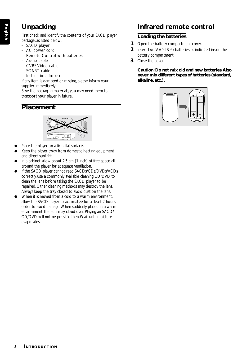# **Unpacking**

First check and identify the contents of your SACD player package, as listed below:

- SACD player
- AC power cord
- Remote Control with batteries
- Audio cable
- CVBS Video cable
- SCART cable
- Instructions for use

If any item is damaged or missing, please inform your supplier immediately.

Save the packaging materials; you may need them to transport your player in future.

**Placement**



- Place the player on a firm, flat surface.
- Keep the player away from domestic heating equipment and direct sunlight.
- In a cabinet, allow about 2.5 cm (1 inch) of free space all around the player for adequate ventilation.
- If the SACD player cannot read SACDs/CDs/DVDs/VCDs correctly, use a commonly available cleaning CD/DVD to clean the lens before taking the SACD player to be repaired. Other cleaning methods may destroy the lens. Always keep the tray closed to avoid dust on the lens.
- When it is moved from a cold to a warm environment. allow the SACD player to acclimatize for at least 2 hours in order to avoid damage. When suddenly placed in a warm environment, the lens may cloud over. Playing an SACD/ CD/DVD will not be possible then. Wait until moisture evaporates.

# **Infrared remote control**

# **Loading the batteries**

- **1** Open the battery compartment cover.
- **2** Insert two 'AA' (LR-6) batteries as indicated inside the battery compartment.
- **3** Close the cover.

**Caution: Do not mix old and new batteries. Also never mix different types of batteries (standard, alkaline, etc.).**

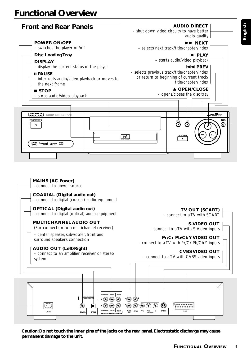

**Caution: Do not touch the inner pins of the jacks on the rear panel. Electrostatic discharge may cause permanent damage to the unit.**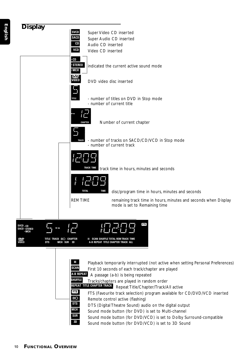

**MCH** Sound mode button (for DVD) is set to Multi-channel

**SUR** Sound mode button (for DVD/VCD) is set to Dolby Surround-compatible<br>**30** Sound mode button (for DVD/VCD) is set to 2D Sound

Sound mode button (for DVD/VCD) is set to 3D Sound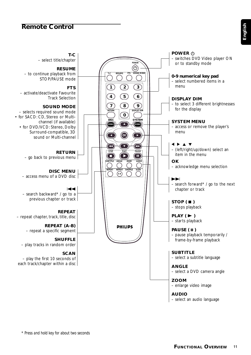# **Remote Control**

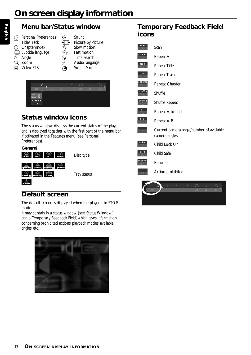# **Menu bar/Status window**

- G Personal Preferences  $\overrightarrow{q}$  Sound Title/Track  $\Phi$  Picture by Picture  $\circ$  Chapter/Index  $\bullet$  Slow motion  $\Box$  Subtitle language  $\Diamond$  Fast motion  $\Diamond$  Angle  $\bigoplus$  Time search  $\bigoplus$  Zoom  $\bigl(\begin{matrix} \cdot & \cdot & \cdot \\ \cdot & \cdot & \cdot \end{matrix}\bigr)$  Audio language  $\sqrt{ }$  Video FTS  $\qquad \qquad \bullet$  Sound Mode
- -
	-
	-
	-
	- $\alpha^{\prime}$  $\Box$ no disc stop

# **Status window icons**

The status window displays the current status of the player and is displayed together with the first part of the menu bar if activated in the Features menu (see Personal Preferences).



# **Default screen**

The default screen is displayed when the player is in STOP mode.

It may contain in a status window (see 'Status Window') and a 'Temporary Feedback Field,' which gives information concerning prohibited actions, playback modes, available angles, etc.



# **Temporary Feedback Field icons**

| scan    | Scan                                                      |
|---------|-----------------------------------------------------------|
| repeat  | Repeat All                                                |
| title   | <b>Repeat Title</b>                                       |
| track   | Repeat Track                                              |
| chapter | Repeat Chapter                                            |
| shuffle | Shuffle                                                   |
| shuffle | Shuffle Repeat                                            |
| A-      | Repeat A to end                                           |
| $A - B$ | Repeat A-B                                                |
|         | Current camera angle/number of available<br>camera angles |
| locked  | Child Lock On                                             |
| safe    | Child Safe                                                |
| resume  | Resume                                                    |
|         | Action prohibited                                         |

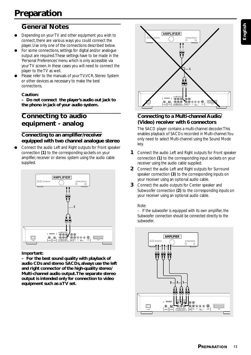# **General Notes**

- Depending on your TV and other equipment you wish to connect, there are various ways you could connect the player. Use only one of the connections described below.
- For some connections, settings for digital and/or analogue output are required. These settings have to be made in the 'Personal Preferences' menu which is only accessible via your TV screen. In these cases you will need to connect the player to the TV as well.
- Please refer to the manuals of your TV, VCR, Stereo System or other devices as necessary to make the best connections.

### **Caution:**

**– Do not connect the player's audio out jack to the phono in jack of your audio system.**

# **Connecting to audio equipment - analog**

### **Connecting to an amplifier/receiver equipped with two channel analogue stereo**

Connect the audio Left and Right outputs for Front speaker connection *(1)* to the corresponding sockets on your amplifier, receiver or stereo system using the audio cable supplied.



**Important:**

**– For the best sound quality with playback of audio CDs and stereo SACDs, always use the left and right connector of the high-quality stereo/ Multi-channel audio output. The separate stereo output is intended only for connection to video equipment such as a TV set.**



# **Connecting to a Multi-channel Audio/ (Video) receiver with 6 connectors**

The SACD player contains a multi-channel decoder. This enables playback of SACDs recorded in Multi-channel. You only need to select Multi-channel using the Sound Mode key.

- **1** Connect the audio Left and Right outputs for Front speaker connection *(1)* to the corresponding input sockets on your receiver using the audio cable supplied.
- **2** Connect the audio Left and Right outputs for Surround speaker connection *(3)* to the corresponding inputs on your receiver using an optional audio cable.
- **3** Connect the audio outputs for Center speaker and Subwoofer connection *(2)* to the corresponding inputs on your receiver using an optional audio cable.

### *Note:*

*– If the subwoofer is equipped with its own amplifier, the Subwoofer connection should be connected directly to the subwoofer.*

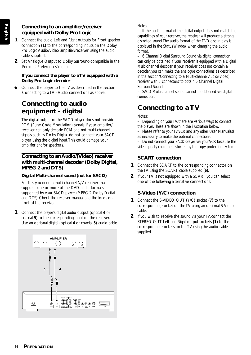### **Connecting to an amplifier/receiver equipped with Dolby Pro Logic**

- **1** Connect the audio Left and Right outputs for Front speaker connection *(1)* to the corresponding inputs on the Dolby Pro Logic Audio/Video amplifier/receiver using the audio cable supplied.
- **2** Set Analogue Output to Dolby Surround-compatible in the 'Personal Preferences' menu.

#### **If you connect the player to a TV equipped with a Dolby Pro Logic decoder**

Connect the player to the TV as described in the section 'Connecting to a TV - Audio connections as above'.

# **Connecting to audio equipment - digital**

The digital output of the SACD player does not provide PCM (Pulse Code Modulation) signals. If your amplifier/ receiver can only decode PCM and not multi-channel signals such as Dolby Digital, do not connect your SACD player using the digital input. This could damage your amplifier and/or speakers.

### **Connecting to an Audio/(Video) receiver with multi-channel decoder (Dolby Digital, MPEG 2 and DTS)**

### **Digital Multi-channel sound (not for SACD)**

For this you need a multi-channel A/V receiver that supports one or more of the DVD audio formats supported by your SACD player (MPEG 2, Dolby Digital and DTS). Check the receiver manual and the logos on front of the receiver.

**1** Connect the player's digital audio output (optical *4* or coaxial *5*) to the corresponding input on the receiver. Use an optional digital (optical *4* or coaxial *5*) audio cable.



### *Notes:*

*– If the audio format of the digital output does not match the capabilities of your receiver, the receiver will produce a strong, distorted sound. The audio format of the DVD disc in play is displayed in the Status Window when changing the audio format.*

*– 6 Channel Digital Surround Sound via digital connection can only be obtained if your receiver is equipped with a Digital Multi-channel decoder. If your receiver does not contain a decoder, you can make the analogue connections as described in the section 'Connecting to a Multi-channel Audio/(Video) receiver with 6 connectors' to obtain 6 Channel Digital Surround Sound.*

*– SACD Multi-channel sound cannot be obtained via digital connection.*

# **Connecting to a TV**

### *Notes:*

- *Depending on your TV, there are various ways to connect the player. These are shown in the illustration below.*
- *Please refer to your TV, VCR and any other User Manual(s) as necessary to make the optimal connections.*
- *Do not connect your SACD-player via your VCR because the video quality could be distorted by the copy protection system.*

# **SCART connection**

- **1** Connect the SCART to the corresponding connector on the TV using the SCART cable supplied *(6)*.
- **2** If your TV is not equipped with a SCART you can select one of the following alternative connections:

# **S-Video (Y/C) connection**

- **1** Connect the S-VIDEO OUT (Y/C) socket *(7)* to the corresponding socket on the TV using an optional S-Video cable.
- **2** If you wish to receive the sound via your TV, connect the STEREO OUT Left and Right output sockets *(1)* to the corresponding sockets on the TV using the audio cable supplied.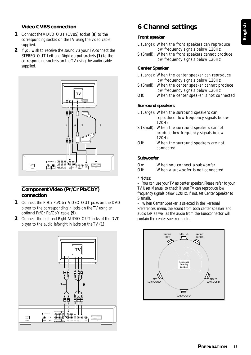# **English**

## **Video CVBS connection**

- **1** Connect the VIDEO OUT (CVBS) socket *(8)* to the corresponding socket on the TV using the video cable supplied.
- **2** If you wish to receive the sound via your TV, connect the STEREO OUT Left and Right output sockets *(1)* to the corresponding sockets on the TV using the audio cable supplied.



### **Component Video (Pr/Cr Pb/Cb Y) connection**

- **1** Connect the Pr/Cr Pb/Cb Y VIDEO OUT jacks on the DVD player to the corresponding in jacks on the TV using an optional Pr/Cr Pb/Cb Y cable *(9)*.
- **2** Connect the Left and Right AUDIO OUT jacks of the DVD player to the audio left/right in jacks on the TV *(1)*.



# **6 Channel settings**

### **Front speaker**

- L (Large): When the front speakers can reproduce low frequency signals below 120Hz
- S (Small): When the front speakers cannot produce low frequency signals below 120Hz

#### **Center Speaker**

- L (Large): When the center speaker can reproduce low frequency signals below 120Hz
- S (Small): When the center speaker cannot produce low frequency signals below 120Hz
- Off: When the center speaker is not connected

#### **Surround speakers**

- L (Large): When the surround speakers can reproduce low frequency signals below 120Hz
- S (Small): When the surround speakers cannot produce low frequency signals below 120Hz
- Off: When the surround speakers are not connected

### **Subwoofer**

- On: When you connect a subwoofer
- Off: When a subwoofer is not connected

#### *\* Notes:*

*– You can use your TV as center speaker. Please refer to your TV User Manual to check if your TV can reproduce low frequency signals below 120Hz. If not, set Center Speaker to S(small).*

*– When Center Speaker is selected in the 'Personal Preferences' menu, the sound from both center speaker and audio L/R as well as the audio from the Euroconnector will contain the center speaker audio.*

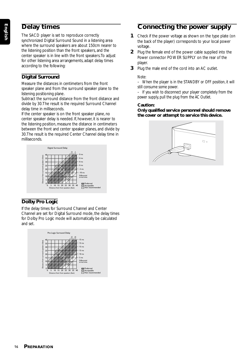# **Delay times**

The SACD player is set to reproduce correctly synchronized Digital Surround Sound in a listening area where the surround speakers are about 150cm nearer to the listening position than the front speakers, and the center speaker is in line with the front speakers. To adjust for other listening area arrangements, adapt delay times according to the following:

# **Digital Surround**

Measure the distances in centimeters from the front speaker plane and from the surround speaker plane to the listening positioning plane.

Subtract the surround distance from the front distance and divide by 30. The result is the required Surround Channel delay time in milliseconds.

If the center speaker is on the front speaker plane, no center speaker delay is needed. If, however, it is nearer to the listening position, measure the distance in centimeters between the front and center speaker planes, and divide by 30. The result is the required Center Channel delay time in milliseconds.



# **Dolby Pro Logic**

If the delay times for Surround Channel and Center Channel are set for Digital Surround mode, the delay times for Dolby Pro Logic mode will automatically be calculated and set.



# **Connecting the power supply**

- **1** Check if the power voltage as shown on the type plate (on the back of the player) corresponds to your local power voltage.
- **2** Plug the female end of the power cable supplied into the Power connector POWER SUPPLY on the rear of the player.
- **3** Plug the male end of the cord into an AC outlet.

### *Note:*

*– When the player is in the STANDBY or OFF position, it will still consume some power.*

*– If you wish to disconnect your player completely from the power supply, pull the plug from the AC Outlet.*

### **Caution:**

**Only qualified service personnel should remove the cover or attempt to service this device.**

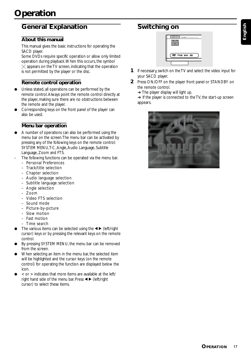# **General Explanation**

### **About this manual**

This manual gives the basic instructions for operating the SACD player.

Some DVDs require specific operation or allow only limited operation during playback. When this occurs, the symbol  $\times$  appears on the TV screen, indicating that the operation is not permitted by the player or the disc.

## **Remote control operation**

- Unless stated, all operations can be performed by the remote control. Always point the remote control directly at the player, making sure there are no obstructions between the remote and the player.
- Corresponding keys on the front panel of the player can also be used.

### **Menu bar operation**

- A number of operations can also be performed using the menu bar on the screen. The menu bar can be activated by pressing any of the following keys on the remote control: SYSTEM MENU, T-C, Angle, Audio Language, Subtitle Language, Zoom and FTS.
- The following functions can be operated via the menu bar.
	- Personal Preferences
	- Track/title selection
	- Chapter selection
	- Audio language selection
	- Subtitle language selection
	- Angle selection
	- Zoom
	- Video FTS selection
	- Sound mode
	- Picture-by-picture
	- Slow motion
	- Fast motion
	- Time search
- The various items can be selected using the  $\blacktriangleleft$  (left/right cursor) keys or by pressing the relevant keys on the remote control.
- By pressing SYSTEM MENU, the menu bar can be removed from the screen.
- When selecting an item in the menu bar, the selected item will be highlighted and the cursor keys (on the remote control) for operating the function are displayed below the icon.
- $\alpha$  or  $>$  indicates that more items are available at the left/ right hand side of the menu bar. Press  $\blacktriangleleft$   $\blacktriangleright$  (left/right cursor) to select these items.

# **Switching on**



- **1** If necessary, switch on the TV and select the video input for your SACD player.
- **2** Press ON/OFF on the player front panel or STANDBY on the remote control.
	- $\rightarrow$  The player display will light up.

**→** If the player is connected to the TV, the start-up screen appears.

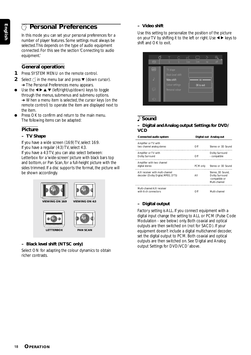# V **Personal Preferences**

In this mode you can set your personal preferences for a number of player features. Some settings must always be selected. This depends on the type of audio equipment connected. For this see the section 'Connecting to audio equipment.'

### **General operation:**

- **1** Press SYSTEM MENU on the remote control.
- **2** Select  $\bigcirc$  in the menu bar and press  $\blacktriangledown$  (down cursor). ➜ The Personal Preferences menu appears.
- $\bullet$  Use the  $\blacktriangle \blacktriangleright \blacktriangle \blacktriangledown$  (left/right/up/down) keys to toggle through the menus, submenus and submenu options. ➜ When a menu item is selected, the cursor keys (on the remote control) to operate the item are displayed next to the item.
- Press OK to confirm and return to the main menu. The following items can be adapted:

# **Picture**

### **– TV Shape**

If you have a wide screen (16:9) TV, select 16:9. If you have a regular (4:3) TV, select 4:3. If you have a 4:3 TV, you can also select between: Letterbox for a 'wide-screen' picture with black bars top and bottom, or Pan Scan, for a full-height picture with the sides trimmed. If a disc supports the format, the picture will be shown accordingly.



### **– Black level shift (NTSC only)**

Select ON for adapting the colour dynamics to obtain richer contrasts.

### **– Video shift**

Use this setting to personalize the position of the picture on your TV by shifting it to the left or right. Use  $\blacktriangleleft \blacktriangleright$  keys to shift and OK to exit.



# *<b> Sound*

### **– Digital and Analog output Settings for DVD/ VCD**

| Connected audio system                                                |          | Digital out Analog out                                                 |
|-----------------------------------------------------------------------|----------|------------------------------------------------------------------------|
| Amplifier or TV with<br>two channel analog stereo                     | Off      | Stereo or 3D Sound                                                     |
| Amplifier or TV with<br>Dolby Surround                                | Off      | Dolby Surround<br>- compatible                                         |
| Amplifier with two channel<br>digital stereo                          | PCM only | Stereo or 3D Sound                                                     |
| A/V receiver with multi-channel<br>decoder (Dolby Digital, MPEG, DTS) | All      | Stereo. 3D Sound.<br>Dolby Surround<br>-compatible or<br>Multi-channel |
| Multi-channel A/V receiver<br>with 6-ch connectors                    | ( )tt    | Multi-channel                                                          |

### **– Digital output**

Factory setting is ALL. If you connect equipment with a digital input change the setting to ALL or PCM (Pulse Code Modulation - see below) only. Both coaxial and optical outputs are then switched on (not for SACD). If your equipment doesn't include a digital multichannel decoder, set the digital output to PCM. Both coaxial and optical outputs are then switched on. See 'Digital and Analog output Settings for DVD/VCD' above.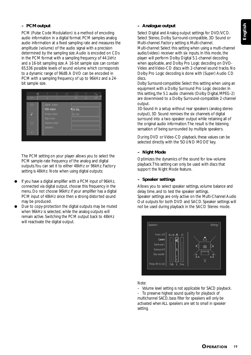### **– PCM output**

PCM (Pulse Code Modulation) is a method of encoding audio information in a digital format. PCM samples analog audio information at a fixed sampling rate and measures the amplitude (volume) of the audio signal with a precision determined by the sampling size. Audio is encoded on CDs in the PCM format with a sampling frequency of 44.1kHz and a 16-bit sampling size. A 16-bit sample size can contain 65,536 possible levels of sound volume which corresponds to a dynamic range of 96dB. A DVD can be encoded in PCM with a sampling frequency of up to 96kHz and a 24 bit sample size.

| ි                       | С                           | ωĆ | (                | Ò   | $\oplus$ |
|-------------------------|-----------------------------|----|------------------|-----|----------|
| $88 -$                  | 1<br><b>COLOR</b>           |    | off              | no. | off      |
| $\circledcirc$          | Digital output              |    |                  |     |          |
| $\overline{1}$          | PCM output<br>Analog output |    | 48 KHz<br>96 KHz |     |          |
| $\overline{\mathbb{R}}$ | Night mode<br>Karaoke vokal |    |                  |     |          |
| $\bigodot$              | <b>Speakers</b>             |    |                  |     |          |

The PCM setting on your player allows you to select the PCM sample-rate frequency of the analog and digital outputs. You can set it to either 48kHz or 96kHz. Factory setting is 48kHz. Note when using digital outputs:

- If you have a digital amplifier with a PCM input of 96kHz, connected via digital output, choose this frequency in the menu. Do not choose 96kHz if your amplifier has a digital PCM input of 48kHz since then a strong distorted sound may be produced.
- Due to copy-protection the digital outputs may be muted when 96kHz is selected, while the analog outputs will remain active. Switching the PCM output back to 48kHz will reactivate the digital output.

#### **– Analogue output**

Select Digital and Analog output settings for DVD/VCD. Select Stereo, Dolby Surround-compatible, 3D Sound or Multi-channel. Factory setting is Multi-channel. *Multi-channel*: Select this setting when using a multi-channel audio/(video) receiver with six inputs. In this mode, the player will perform Dolby Digital 5.1-channel decoding when applicable, and Dolby Pro Logic decoding on DVD-Video and Video-CD discs with 2-channel sound tracks. No Dolby Pro Logic decoding is done with (Super) Audio CD discs.

*Dolby Surround-compatible*: Select this setting when using an equipment with a Dolby Surround Pro Logic decoder. In this setting, the 5.1 audio channels (Dolby Digital, MPEG-2) are downmixed to a Dolby Surround-compatible 2-channel output.

*3D-Sound*: In a setup without rear speakers (analog stereo output), 3D Sound remixes the six channels of digital surround into a two-speaker output while retaining all of the original audio information. The result is the listening sensation of being surrounded by multiple speakers.

During DVD or Video-CD playback, these values can be selected directly with the 'SOUND MODE' key.

### **– Night Mode**

Optimizes the dynamics of the sound for low-volume playback. This setting can only be used with discs that support the Night Mode feature.

### **– Speaker settings**

Allows you to select speaker settings, volume balance and delay time, and to test the speaker settings. Speaker settings are only active on the Multi-Channel Audio Out outputs for both DVD and SACD. Speaker settings will not be used during playback in the SACD Stereo mode.



#### *Note:*

- *Volume level setting is not applicable for SACD playback.*
- *To preserve highest sound quality for playback of multichannel SACD, bass filter for speakers will only be activated when ALL speakers are set to small in speaker setting.*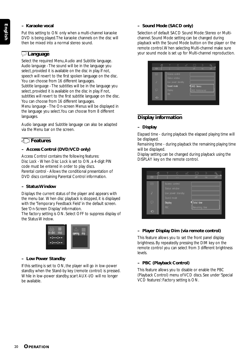### **– Karaoke vocal**

Put this setting to ON only when a multi-channel karaoke DVD is being played. The karaoke channels on the disc will then be mixed into a normal stereo sound.

### r **Language**

Select the required Menu, Audio and Subtitle language. *Audio language* - The sound will be in the language you select, provided it is available on the disc in play. If not, speech will revert to the first spoken language on the disc. You can choose from 16 different languages.

*Subtitle language* - The subtitles will be in the language you select, provided it is available on the disc in play. If not, subtitles will revert to the first subtitle language on the disc. You can choose from 16 different languages.

*Menu language* - The On-screen Menus will be displayed in the language you select. You can choose from 8 different languages.

Audio language and Subtitle language can also be adapted via the Menu bar on the screen.

### s **Features**

### **– Access Control (DVD/VCD only)**

Access Control contains the following features: *Disc Lock* - When Disc Lock is set to ON, a 4-digit PIN code must be entered in order to play discs. *Parental control* - Allows the conditional presentation of DVD discs containing Parental Control information.

#### **– Status Window**

Displays the current status of the player and appears with the menu bar. When disc playback is stopped, it is displayed with the 'Temporary Feedback Field' in the default screen. See 'On-Screen Display' information.

The factory setting is ON. Select OFF to suppress display of the Status Window.



#### **– Low Power Standby**

If this setting is set to ON, the player will go in low-power standby when the Stand-by key (remote control) is pressed. While in low-power standby, scart AUX-I/O will no longer be available.

### **– Sound Mode (SACD only)**

Selection of default SACD Sound Mode: Stereo or Multichannel. Sound Mode setting can be changed during playback with the Sound Mode button on the player or the remote control. When selecting Multi-channel make sure your sound mode is set up for Multi-channel reproduction.

| ි                  |                | С                               | u¢ | ()  | ◇                 | $^{\circ}$ |
|--------------------|----------------|---------------------------------|----|-----|-------------------|------------|
| 89                 |                | ---                             |    | off | n <sub>0</sub>    | off        |
| $\overline{\odot}$ |                | Access control<br>Status window |    |     |                   |            |
|                    |                | Low power standby               |    |     |                   |            |
|                    | Sound mode     |                                 |    |     | SACD Stereo       |            |
| Q                  | <b>Display</b> |                                 |    |     | SACD Multichannel |            |
|                    | <b>PBC</b>     |                                 |    |     |                   |            |
| €.                 |                |                                 |    |     |                   |            |

### **Display information**

### **– Display**

*Elapsed time* - during playback the elapsed playing time will be displayed.

*Remaining time* - during playback the remaining playing time will be displayed.

Display setting can be changed during playback using the DISPLAY key on the remote control.

|                         | ි | T          | C                 | πĆ | (              | ♦  | $\mathbf{\Theta}$ |
|-------------------------|---|------------|-------------------|----|----------------|----|-------------------|
| 89                      |   | 1          | <b>COLOR</b>      |    | off            | no | off               |
| $\circledcirc$          |   |            | Access control    |    |                |    |                   |
|                         |   |            | Status window     |    |                |    |                   |
| Þ                       |   |            | Low power standby |    |                |    |                   |
|                         |   | Sound mode |                   |    |                |    |                   |
| $\overline{\mathbb{R}}$ |   | Display    |                   |    | Total time     |    |                   |
|                         |   | PBC        |                   |    | Remaining time |    |                   |
| $\subset$               |   |            |                   |    |                |    |                   |

#### **– Player Display Dim (via remote control)**

This feature allows you to set the front panel display brightness. By repeatedly pressing the DIM key on the remote control you can select from 3 different brightness levels.

### **– PBC (Playback Control)**

This feature allows you to disable or enable the PBC (Playback Control) menu of VCD discs. See under 'Special VCD features': Factory setting is ON.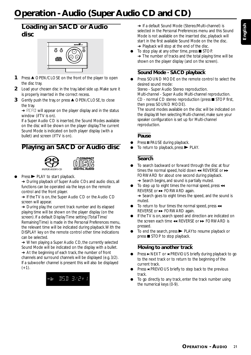# **Operation - Audio (Super Audio CD and CD)**

# **Loading an SACD or Audio disc**



- **1** Press ▲ OPEN/CLOSE on the front of the player to open the disc tray.
- **2** Load your chosen disc in the tray, label side up. Make sure it is properly inserted in the correct recess.
- **3** Gently push the tray, or press ▲ OPEN/CLOSE, to close the tray.

→ READ will appear on the player display and in the status window (if TV is on).

If a Super Audio CD is inserted, the Sound Modes available on the disc will be shown on the player display. The current Sound Mode is indicated on both player display (with a bullet) and screen (if TV is on).

# **Playing an SACD or Audio disc**



- 
- $Press$  PLAY to start playback.

**→** During playback of Super Audio CDs and audio discs, all functions can be operated via the keys on the remote control and the front player.

**→** If the TV is on, the Super Audio CD or the Audio CD screen will appear.

**→** During play, the current track number and its elapsed playing time will be shown on the player display (on the screen). If a default Display Time setting (Total Time/ Remaining Time) is made in the Personal Preferences menu, the relevant time will be indicated during playback. With the DISPLAY key on the remote control other time indications can be selected.

**→** When playing a Super Audio CD, the currently selected Sound Mode will be indicated on the display with a bullet. ➜ At the beginning of each track, the number of front channels and surround channels will be displayed (e.g. 3/2). If a subwoofer channel is present this will also be displayed  $(+1).$ 



**→** If a default Sound Mode (Stereo/Multi-channel) is selected in the Personal Preferences menu and this Sound Mode is not available on the inserted disc, playback will start in the first available Sound Mode on the the disc. ➜ Playback will stop at the end of the disc.

To stop play at any other time, press  $\blacksquare$  STOP.  $\rightarrow$  The number of tracks and the total playing time will be shown on the player display (and on the screen).

# **Sound Mode - SACD playback**

Press SOUND MODE on the remote control to select the desired sound mode:

*Stereo* - Super Audio Stereo reproduction. *Multi-channe*l - Super Audio Multi-channel reproduction.  $CD$  - normal CD stereo reproduction (press  $\blacksquare$  STOP first, then press SOUND MODE).

The sound modes available on the disc will be indicated on the display. When selecting Multi-channel, make sure your speaker configuration is set up for Multi-channel reproduction.

# **Pause**

- Press II PAUSE during playback.
- To return to playback, press  $\blacktriangleright$  PLAY.

# **Search**

- To search backward or forward through the disc at four times the normal speed, hold down  $\leftrightarrow$  REVERSE or  $\rightarrow$ FORWARD for about one second during playback.
	- **→** Search begins, and sound is partially muted.
- To step up to eight times the normal speed, press  $\triangleleft$ REVERSE or  $\rightarrow$  FORWARD again.
	- **→** Search goes to eight times the speed, and the sound is muted.
- To return to four times the normal speed, press  $\triangleleft$ REVERSE or  $\rightarrow$  FORWARD again.
- **•** If the TV is on, search speed and direction are indicated on the screen each time  $\leftrightarrow$  REVERSE or  $\leftrightarrow$  FORWARD is pressed.
- To end the search, press  $\blacktriangleright$  PLAYto resume playback or  $pres \equiv STOP$  to stop playback.

# **Moving to another track**

- Press ► NEXT or ► PREVIOUS briefly during playback to go to the next track or to return to the beginning of the current track.
- Press ► PREVIOUS briefly to step back to the previous track.
- To go directly to any track, enter the track number using the numerical keys (0-9).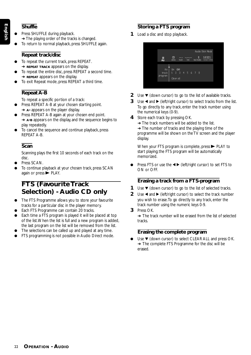### **Shuffle**

- Press SHUFFLE during playback. **→ The playing order of the tracks is changed.**
- To return to normal playback, press SHUFFLE again.

## **Repeat track/disc**

- To repeat the current track, press REPEAT. **→ REPEAT TRACK** appears on the display.
- To repeat the entire disc, press REPEAT a second time. **→ REPEAT** appears on the display.
- To exit Repeat mode, press REPEAT a third time.

# **Repeat A-B**

To repeat a specific portion of a track:

- Press REPEAT A-B at your chosen starting point. **→ A-** appears on the player display.
- Press REPEAT A-B again at your chosen end point. ➜ **A-B** appears on the display, and the sequence begins to play repeatedly.
- To cancel the sequence and continue playback, press REPEAT A-B.

# **Scan**

Scanning plays the first 10 seconds of each track on the disc.

- Press SCAN.
- To continue playback at your chosen track, press SCAN again or press $\blacktriangleright$  PLAY.

# **FTS (Favourite Track Selection) - Audio CD only**

- The FTS Programme allows you to store your favourite tracks for a particular disc in the player memory.
- Each FTS Programme can contain 20 tracks.
- Each time a FTS program is played it will be placed at top of the list. When the list is full and a new program is added, the last program on the list will be removed from the list.
- The selections can be called up and played at any time.
- FTS programming is not possible in Audio Direct mode.

# **Storing a FTS program**

**1** Load a disc and stop playback.



- **2** Use  $\blacktriangledown$  (down cursor) to go to the list of available tracks.
- **3** Use  $\triangleleft$  and  $\triangleright$  (left/right cursor) to select tracks from the list. To go directly to any track, enter the track number using the numerical keys (0-9).
- **4** Store each track by pressing OK.
	- **→ The track numbers will be added to the list.**
	- **→** The number of tracks and the playing time of the programme will be shown on the TV screen and the player display.

When your FTS program is complete, press  $\blacktriangleright$  PLAY to start playing; the FTS program will be automatically memorized.

Press FTS or use the  $\blacktriangleleft$   $\blacktriangleright$  (left/right cursor) to set FTS to ON or OFF.

### **Erasing a track from a FTS-program**

- **1** Use  $\blacktriangledown$  (down cursor) to go to the list of selected tracks.
- **2** Use  $\triangleleft$  and  $\triangleright$  (left/right cursor) to select the track number you wish to erase. To go directly to any track, enter the track number using the numeric keys 0-9.
- **3** Press OK.

**→** The track number will be erased from the list of selected tracks.

# **Erasing the complete program**

Use  $\blacktriangledown$  (down cursor) to select CLEAR ALL and press OK. **→** The complete FTS Programme for the disc will be erased.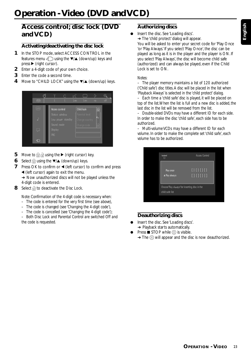# **Access control; disc lock (DVD and VCD)**

# **Activating/deactivating the disc lock**

- **1** In the STOP mode, select ACCESS CONTROL in the features menu  $\epsilon$  using the  $\blacktriangledown/\blacktriangle$  (down/up) keys and  $pres$  (right cursor).
- **2** Enter a 4-digit code of your own choice.
- **3** Enter the code a second time.
- **4** Move to "CHILD LOCK" using the ▼/▲ (down/up) keys.



- **5** Move to  $\widehat{R}$  and using the  $\blacktriangleright$  (right cursor) key.
- **6** Select  $\frac{1}{3}$  using the  $\blacktriangledown/\blacktriangle$  (down/up) keys.
- **7** Press OK to confirm or  $\triangleleft$  (left cursor) to confirm and press 1 (left cursor) again to exit the menu.

**→ Now unauthorized discs will not be played unless the** 4-digit code is entered.

**8** Select  $\widehat{F}$  to deactivate the Disc Lock.

*Note: Confirmation of the 4-digit code is necessary when:*

- *The code is entered for the very first time (see above),*
- *The code is changed (see 'Changing the 4-digit code'),*
- *The code is cancelled (see 'Changing the 4-digit code');*

*– Both Disc Lock and Parental Control are switched Off and the code is requested.*

# **Authorizing discs**

Insert the disc. See 'Loading discs'.

**→ The 'child protect' dialog will appear.** 

You will be asked to enter your secret code for 'Play Once 'or 'Play Always.' If you select 'Play Once', the disc can be played as long as it is in the player and the player is ON. If you select 'Play Always', the disc will become child safe (authorized) and can always be played, even if the Child Lock is set to ON.

#### *Notes:*

*– The player memory maintains a list of 120 authorized ('Child safe') disc titles. A disc will be placed in the list when 'Playback Always' is selected in the 'child protect' dialog. – Each time a 'child safe' disc is played, it will be placed on top of the list. When the list is full and a new disc is added, the last disc in the list will be removed from the list.*

*– Double-sided DVDs may have a different ID for each side. In order to make the disc 'child safe', each side has to be authorized.*

*– Multi-volume VCDs may have a different ID for each volume. In order to make the complete set 'child safe', each volume has to be authorized.*

| locked<br>ణ                                                     | <b>Acces Control</b>                      |
|-----------------------------------------------------------------|-------------------------------------------|
| Play once<br>A Play always                                      | [ ] [ ] [ ] [ ]<br>$\overline{[][][][][]$ |
| Choose Play always for inserting disc in the<br>child safe list |                                           |

### **Deauthorizing discs**

- Insert the disc. See 'Loading discs'. **→** Playback starts automatically.
- Press  $\blacksquare$  STOP while  $\odot$  is visible.
	- $\rightarrow$  The  $\circledR$  will appear and the disc is now deauthorized.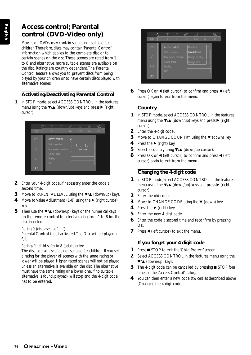# **Access control; Parental control (DVD-Video only)**

Movies on DVDs may contain scenes not suitable for children. Therefore, discs may contain 'Parental Control' information which applies to the complete disc or to certain scenes on the disc. These scenes are rated from 1 to 8, and alternative, more suitable scenes are available on the disc. Ratings are country dependent. The 'Parental Control' feature allows you to prevent discs from being played by your children or to have certain discs played with alternative scenes.

# **Activating/Deactivating Parental Control**

**1** In STOP mode, select ACCESS CONTROL in the features menu using the  $\blacktriangledown/\blacktriangle$  (down/up) keys and press  $\blacktriangleright$  (right cursor).



- **2** Enter your 4-digit code. If necessary, enter the code a second time.
- **3** Move to PARENTAL LEVEL using the  $\blacktriangledown/\blacktriangle$  (down/up) keys.
- **4** Move to Value Adjustment (1-8) using the ▶ (right cursor) key.
- **5** Then use the  $\blacktriangledown/\blacktriangle$  (down/up) keys or the numerical keys on the remote control to select a rating from 1 to 8 for the disc inserted.

# *Rating 0 (displayed as '– –'):*

Parental Control is not activated. The Disc will be played in full.

# *Ratings 1 (child safe) to 8 (adults only):*

The disc contains scenes not suitable for children. If you set a rating for the player, all scenes with the same rating or lower will be played. Higher rated scenes will not be played unless an alternative is available on the disc. The alternative must have the same rating or a lower one. If no suitable alternative is found, playback will stop and the 4-digit code has to be entered.



**6** Press OK or  $\triangleleft$  (left cursor) to confirm and press  $\triangleleft$  (left cursor) again to exit from the menu.

# **Country**

- **1** In STOP mode, select ACCESS CONTROL in the features menu using the  $\blacktriangledown/\blacktriangle$  (down/up) keys and press  $\blacktriangleright$  (right cursor).
- **2** Enter the 4-digit code.
- **3** Move to CHANGE COUNTRY using the ▼ (down) key.
- **4** Press the ▶ (right) key.
- **5** Select a country using ▼/▲ (down/up cursor).
- **6** Press OK or  $\triangleleft$  (left cursor) to confirm and press  $\triangleleft$  (left cursor) again to exit from the menu.

# **Changing the 4-digit code**

- **1** In STOP mode, select ACCESS CONTROL in the features menu using the  $\blacktriangledown/\blacktriangle$  (down/up) keys and press  $\blacktriangleright$  (right cursor).
- **2** Enter the old code.
- **3** Move to CHANGE CODE using the  $\blacktriangledown$  (down) key.
- **4** Press the ► (right) key.
- **5** Enter the new 4-digit code.
- **6** Enter the code a second time and reconfirm by pressing OK.
- **7** Press  $\blacktriangleleft$  (left cursor) to exit the menu.

# **If you forget your 4 digit code**

- **1** Press **B** STOP to exit the 'Child Protect' screen.
- **2** Select ACCESS CONTROL in the features menu using the  $\blacktriangledown/\blacktriangle$  (down/up) keys.
- **3** The 4-digit code can be cancelled by pressing **STOP** four times in the 'Access Control' dialog.
- **4** You can then enter a new code (twice!) as described above (Changing the 4 digit code).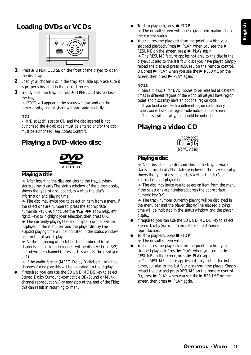# **Loading DVDs or VCDs**



- **1** Press ▲ OPEN/CLOSE on the front of the player to open the disc tray.
- **2** Load your chosen disc in the tray, label side up. Make sure it is properly inserted in the correct recess.
- **3** Gently push the tray, or press ▲ OPEN/CLOSE, to close the tray.

**→ READ will appear in the status window and on the** player display and playback will start automatically.

#### *Note:*

*– If 'Disc Lock' is set to ON and the disc inserted is not authorized, the 4-digit code must be entered and/or the disc must be authorized (see 'Access Control').*

# **Playing a DVD-video disc**



### **Playing a title**

 $\rightarrow$  After inserting the disc and closing the tray, playback starts automatically. The status window of the player display shows the type of disc loaded, as well as the disc's information and playing time.

**→** The disc may invite you to select an item from a menu. If the selections are numbered, press the appropriate numerical key 0-9; if not, use the  $\blacktriangledown/\blacktriangle$ ,  $\blacktriangleleft/\blacktriangleright$  (down/up/left/ right) keys to highlight your selection, then press OK.

**→** The currently-playing title and chapter number will be displayed in the menu bar and the player display. The elapsed playing time will be indicated in the status window and on the player display.

**→** At the beginning of each title, the number of front channels and surround channels will be displayed (e.g. 3/2). If a subwoofer channel is present this will also be displayed  $(+1)$ .

→ If the audio format (MPEG, Dolby Digital, etc.) of a title changes during play, this will be indicated on the display.

If required, you can use the SOUND MODE key to select Stereo, Dolby Surround-compatible, 3D-Sound or Multichannel reproduction. Play may stop at the end of the Title; this can result in returning to menu.

- To stop playback, press  $\blacksquare$  STOP.
- **→** The default screen will appear, giving information about the current status.
- You can resume playback from the point at which you stopped playback. Press  $\blacktriangleright$  PLAY; when you see the  $\blacktriangleright$ RESUME on the screen, press  $\blacktriangleright$  PLAY again.

**→** The RESUME feature applies not only to the disc in the player, but also to the last four discs you have played. Simply reload the disc and press RESUME on the remote control. Or, press  $\blacktriangleright$  PLAY when you see the  $\blacktriangleright$  RESUME on the screen, then  $pres \rightarrow PLAY$  again.

#### *Notes:*

*– Since it is usual for DVD movies to be released at different times in different regions of the world, all players have region codes and discs may have an optional region code.*

*– If you load a disc with a different region code than your player, you will see the region code notice on the screen.*

*– The disc will not play, and should be unloaded.*

# **Playing a video CD**

# **DIGITAL VIDEO**

### **Playing a disc**

**→** After inserting the disc and closing the tray, playback starts automatically. The status window of the player display shows the type of disc loaded, as well as the disc's information and playing time.

→ The disc may invite you to select an item from the menu. If the selections are numbered, press the appropriate numeric key 0-9.

**→** The track number currently playing will be displayed in the menu bar and the player display. The elapsed playing time will be indicated in the status window and the player display.

- If required, you can use the SOUND MODE key to select Stereo, Dolby Surround-compatible or 3D-Sound reproduction.
- To stop playback, press STOP.
- **→** The default screen will appear.
- You can resume playback from the point at which you stopped playback. Press  $\blacktriangleright$  PLAY; when you see the  $\blacktriangleright$  $RESUME$  on the screen, press  $\blacktriangleright$  PLAY again.

**→** The RESUME feature applies not only to the disc in the player, but also to the last four discs you have played. Simply reload the disc and press RESUME on the remote control. Or, press  $\blacktriangleright$  PLAY when you see the  $\blacktriangleright$  RESUME on the screen, then  $pres \blacktriangleright$  PLAY again.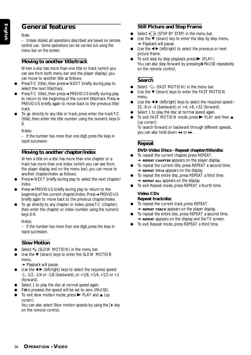# **General features**

#### *Note:*

*– Unless stated, all operations described are based on remote control use. Some operations can be carried out using the menu bar on the screen.*

### **Moving to another title/track**

When a disc has more than one title or track (which you can see from both menu bar and the player display), you can move to another title as follows:

- Press T-C (title), then press  $\blacktriangleright$  NEXT briefly during play to select the next title/track.
- Press T-C (title), then press  $\blacktriangleleft$  PREVIOUS briefly during play to return to the beginning of the current title/track. Press  $\blacksquare$ PREVIOUS briefly again to move back to the previous title/ track.
- To go directly to any title or track, press enter the track T-C (title), then enter the title number using the numeric keys 0- 9.

#### *Notes:*

*– If the number has more than one digit, press the keys in rapid succession.*

### **Moving to another chapter/index**

When a title on a disc has more than one chapter or a track has more than one index (which you can see from the player display and on the menu bar), you can move to another chapter/index as follows:

- $Press \triangleright \text{NEXT}$  briefly during play to select the next chapter/ index.
- Press ► PREVIOUS briefly during play to return to the beginning of the current chapter/index. Press  $\blacktriangleleft$  PREVIOUS briefly again to move back to the previous chapter/index.
- To go directly to any chapter or index, press T-C (chapter), then enter the chapter or index number using the numeric keys 0-9.

#### *Notes:*

*– If the number has more than one digit, press the keys in rapid succession.*

#### **Slow Motion**

- Select  $\triangle$  (SLOW MOTION) in the menu bar.
- Use the  $\blacktriangledown$  (down) keys to enter the SLOW MOTION menu.

**→** Playback will pause.

- Use the  $\blacktriangleleft$   $\blacktriangleright$  (left/right) keys to select the required speed:  $-1$ ,  $-1/2$ ,  $-1/4$  or  $-1/8$  (backward), or  $+1/8$ ,  $+1/4$ ,  $+1/2$  or  $+1$ (forward).
- Select 1 to play the disc at normal speed again.
- If II is pressed, the speed will be set to zero (PAUSE).
- To exit slow motion mode, press  $\blacktriangleright$  PLAY and  $\blacktriangle$  (up cursor).

You can also select Slow motion speeds by using the  $\triangleright$  key on the remote control.

### **Still Picture and Step Frame**

- Select  $\sqrt{ }$  (STEP BY STEP) in the menu bar.
- Use the  $\blacktriangledown$  (down) key to enter the step by step menu. **→** Playback will pause.
- Use the  $\blacktriangleleft$   $\blacktriangleright$  (left/right) to select the previous or next picture frame.
- To exit step by step playback, press  $\blacktriangleright$  (PLAY). You can also step forward by pressing II PAUSE repeatedly on the remote control.

### **Search**

- Select  $\llgtrsim$  (FAST MOTION) in the menu bar.
- Use the  $\blacktriangledown$  (down) keys to enter the FAST MOTION menu.
- Use the  $\blacktriangleleft$   $\blacktriangleright$  (left/right) keys to select the required speed: -32,  $-8$  or  $-4$  (backward), or  $+4$ ,  $+8$ ,  $+32$  (forward).
- Select 1 to play the disc at normal speed again.
- To exit FAST MOTION mode, press  $\blacktriangleright$  PLAY and then  $\blacktriangle$ (up cursor). To search forward or backward through different speeds,

# **Repeat**

### **DVD-Video Discs - Repeat chapter/title/disc**

- To repeat the current chapter, press REPEAT.
- **→ REPEAT CHAPTER** appears on the player display. To repeat the current title, press REPEAT a second time.
- **→ REPEAT TITLE** appears on the display.

you can also hold down  $\leftrightarrow$  or  $\rightarrow$ .

- To repeat the entire disc, press REPEAT a third time. **→ REPEAT ALL** appears on the display.
- ¶ To exit Repeat mode, press REPEAT a fourth time.

#### **Video CDs Repeat track/disc**

- To repeat the current track, press REPEAT.
- **→ REPEAT TRACK** appears on the player display.
- To repeat the entire disc, press REPEAT a second time. **→ REPEAT** appears on the display and the TV screen.
- To exit Repeat mode, press REPEAT a third time.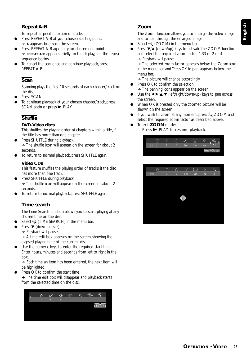# **Repeat A-B**

To repeat a specific portion of a title:

- Press REPEAT A-B at your chosen starting point. **→ A** appears briefly on the screen.
- Press REPEAT A-B again at your chosen end point.
- ➜ **REPEAT A-B** appears briefly on the display, and the repeat sequence begins.
- To cancel the sequence and continue playback, press REPEAT A-B.

## **Scan**

Scanning plays the first 10 seconds of each chapter/track on the disc.

- Press SCAN.
- To continue playback at your chosen chapter/track, press  $SCAN$  again or press  $\blacktriangleright$  PLAY.

# **Shuffle**

#### **DVD-Video discs**

This shuffles the playing order of chapters within a title, if the title has more than one chapter.

- Press SHUFFLE during playback.
- → The shuffle icon will appear on the screen for about 2 seconds.
- To return to normal playback, press SHUFFLE again.

### **Video CDs**

This feature shuffles the playing order of tracks, if the disc has more than one track.

- Press SHUFFLE during playback. → The shuffle icon will appear on the screen for about 2 seconds.
- To return to normal playback, press SHUFFLE again.

### **Time search**

The Time Search function allows you to start playing at any chosen time on the disc.

- Select  $\bigoplus$  (TIME SEARCH) in the menu bar.
- Press  $\blacktriangledown$  (down cursor).
- **→ Playback will pause.**

 $\rightarrow$  A time edit box appears on the screen, showing the elapsed playing time of the current disc.

Use the numeric keys to enter the required start time. Enter hours, minutes and seconds from left to right in the box.

**→** Each time an item has been entered, the next item will be highlighted.

Press OK to confirm the start time.

→ The time edit box will disappear and playback starts from the selected time on the disc.



### **Zoom**

The Zoom function allows you to enlarge the video image and to pan through the enlarged image.

- Select  $\bigoplus$  (ZOOM) in the menu bar.
- Press  $\blacktriangledown/\blacktriangle$  (down/up) keys to activate the ZOOM function and select the required zoom factor: 1.33 or 2 or 4. **→** Playback will pause.

**→** The selected zoom factor appears below the Zoom icon in the menu bar, and '*Press OK to pan*' appears below the menu bar.

**→ The picture will change accordingly.** 

- Press OK to confirm the selection.
- **→** The panning icons appear on the screen.
- Use the  $\blacktriangle \blacktriangleright \blacktriangle \blacktriangledown$  (left/right/down/up) keys to pan across the screen.
- When OK is pressed only the zoomed picture will be shown on the screen.
- $\bullet$  If you wish to zoom at any moment, press  $\oplus$  ZOOM and select the required zoom factor as described above.
- ¶ To exit **ZOOM** mode:
	- $-$  Press  $\blacktriangleright$  PLAY to resume playback.



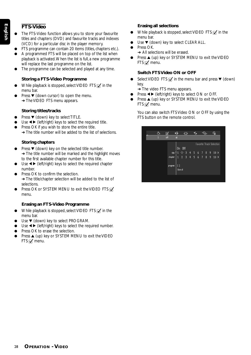### **FTS-Video**

- The FTS-Video function allows you to store your favourite titles and chapters (DVD) and favourite tracks and indexes (VCD) for a particular disc in the player memory.
- FTS programme can contain 20 items (titles, chapters etc.).
- A programmed FTS will be placed on top of the list when playback is activated. When the list is full, a new programme will replace the last programme on the list.
- The programme can be selected and played at any time.

### **Storing a FTS-Video Programme**

- While playback is stopped, select VIDEO FTS  $\mathbf{\nabla}$  in the menu bar.
- Press  $\blacktriangledown$  (down cursor) to open the menu. **→ The VIDEO FTS menu appears.**

### **Storing titles/tracks**

- $\bullet$  Press  $\nabla$  (down) key to select TITLE.
- $\bigcup$ se  $\blacktriangleleft$   $\blacktriangleright$  (left/right) keys to select the required title.
- Press OK if you wish to store the entire title.
- **→** The title number will be added to the list of selections.

### **Storing chapters**

- Press  $\blacktriangledown$  (down) key on the selected title number. **→** The title number will be marked and the highlight moves to the first available chapter number for this title.
- $\bigcup$ se  $\blacktriangleleft$   $\blacktriangleright$  (left/right) keys to select the required chapter number.
- Press OK to confirm the selection. → The title/chapter selection will be added to the list of selections.
- Press OK or SYSTEM MENU to exit the VIDEO FTS  $\vec{v}$ menu.

### **Erasing an FTS-Video Programme**

- While playback is stopped, select VIDEO FTS  $\vec{v}$  in the menu bar.
- $\Box$  Use  $\blacktriangledown$  (down) key to select PROGRAM.
- $\bullet$  Use  $\blacktriangleleft$  / (left/right) keys to select the required number.
- Press OK to erase the selection.
- $\bullet$  Press  $\blacktriangle$  (up) key or SYSTEM MENU to exit the VIDEO FTS  $\sqrt{ }$  menu.

### **Erasing all selections**

- $\bullet$  While playback is stopped, select VIDEO FTS  $\blacksquare$  in the menu bar.
- $\bullet$  Use  $\nabla$  (down) key to select CLEAR ALL.
- Press OK.
- **→ All selections will be erased.**
- Press ▲ (up) key or SYSTEM MENU to exit the VIDEO FTS  $\overline{v}$  menu.

### **Switch FTS Video ON or OFF**

Select VIDEO FTS  $\vec{v}$  in the menu bar and press  $\vec{v}$  (down) key.

**→ The video FTS menu appears.** 

- Press < ▶ (left/right) keys to select ON or OFF.
- $\bullet$  Press  $\blacktriangle$  (up) key or SYSTEM MENU to exit the VIDEO FTS  $\mathbf{r}$  menu.

You can also switch FTS Video ON or OFF by using the FTS button on the remote control.

|              | ☑       | ⊮∎                                                      |                                                                    | ৰ∏∗ |  |  |                | Ð                               |  |
|--------------|---------|---------------------------------------------------------|--------------------------------------------------------------------|-----|--|--|----------------|---------------------------------|--|
| $\mathbf{1}$ | off     | st                                                      |                                                                    |     |  |  |                |                                 |  |
|              |         | 0n                                                      | 0ff                                                                |     |  |  |                | <b>Favorite Track Selection</b> |  |
|              | chapter | title $\frac{4}{7}$ 1 · 2 · 3 4 5 6 7 8<br>$\mathbf{1}$ | $\begin{array}{ccccccccc}\n2 & 3 & 4 & 5 & 6 & 7 & 8\n\end{array}$ |     |  |  | $\bullet$<br>9 | $10$ ><br>$10 \rightarrow$      |  |
|              | program | U<br>Clear all                                          |                                                                    |     |  |  |                |                                 |  |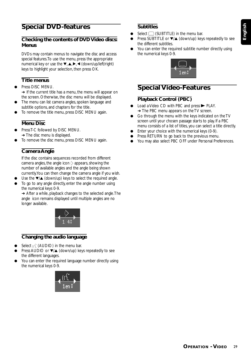# **English**

# **Special DVD-features**

### **Checking the contents of DVD Video discs: Menus**

DVDs may contain menus to navigate the disc and access special features. To use the menu, press the appropriate numerical key or use the  $\blacktriangledown$ ,  $\blacktriangle$ ,  $\blacktriangleright$ ,  $\blacktriangle$  (down/up/left/right) keys to highlight your selection, then press OK.

### **Title menus**

- Press DISC MENU. **→** If the current title has a menu, the menu will appear on the screen. Otherwise, the disc menu will be displayed.
- The menu can list camera angles, spoken language and subtitle options, and chapters for the title.
- To remove the title menu, press DISC MENU again.

### **Menu Disc**

- Press T-C followed by DISC MENU.  $\rightarrow$  The disc menu is displayed.
- To remove the disc menu, press DISC MENU again.

### **Camera Angle**

If the disc contains sequences recorded from different camera angles, the angle icon  $\Diamond$  appears, showing the number of available angles and the angle being shown currently. You can then change the camera angle if you wish.

- Use the  $\blacktriangledown/\blacktriangle$  (down/up) keys to select the required angle.
- To go to any angle directly, enter the angle number using the numerical keys 0-9.

**→** After a while, playback changes to the selected angle. The angle icon remains displayed until multiple angles are no longer available.



### **Changing the audio language**

- Select  $\mu$ <sup>'</sup> (AUDIO) in the menu bar.
- Press AUDIO or  $\nabla/\blacktriangle$  (down/up) keys repeatedly to see the different languages.
- You can enter the required language number directly using the numerical keys 0-9.



### **Subtitles**

- Select  $\Box$  (SUBTITLE) in the menu bar.
- Press SUBTITLE or  $\blacktriangledown/\blacktriangle$  (down/up) keys repeatedly to see the different subtitles.
- You can enter the required subtitle number directly using the numerical keys 0-9.



# **Special Video-Features**

### **Playback Control (PBC)**

- Load a Video CD with PBC and press  $\blacktriangleright$  PLAY. **→ The PBC menu appears on the TV screen.**
- Go through the menu with the keys indicated on the TV screen until your chosen passage starts to play. If a PBC menu consists of a list of titles, you can select a title directly.
- Enter your choice with the numerical keys (0-9).
- Press RETURN to go back to the previous menu.
- You may also select PBC OFF under Personal Preferences.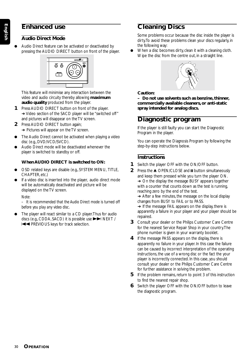# **Enhanced use**

### **Audio Direct Mode**

Audio Direct feature can be activated or deactivated by pressing the AUDIO DIRECT button on front of the player.



This feature will minimise any interaction between the video and audio circuity thereby allowing **maximum audio quality** produced from the player.

- **1** Press AUDIO DIRECT button on front of the player. ➜ Video section of the SACD player will be "switched off" and pictures will disappear on the TV screen.
- **2** Press AUDIO DIRECT button again; **→** Pictures will appear on the TV screen.
- The Audio Direct cannot be activated when playing a video disc (e.g., DVD/VCD/SVCD).
- Audio Direct mode will be deactivated whenever the player is switched to standby or off.

### **When AUDIO DIRECT is switched to ON:**

- OSD related keys are disable (e.g., SYSTEM MENU, TITLE, CHAPTER, etc.)
- If a video disc is inserted into the player, audio direct mode will be automatically deactivated and picture will be displayed on the TV screen.

#### *Note:*

*– It is recommended that the Audio Direct mode is turned off before you play any video disc.*

The player will react similar to a CD player. Thus for audio discs (e.g., CDDA, SACD) it is possible use  $\blacktriangleright$  NEXT / S PREVIOUS keys for track selection.

# **Cleaning Discs**

Some problems occur because the disc inside the player is dirty. To avoid these problems clean your discs regularly, in the following way:

When a disc becomes dirty, clean it with a cleaning cloth. Wipe the disc from the centre out, in a straight line.



### **Caution:**

**– Do not use solvents such as benzine, thinner, commercially available cleaners, or anti-static spray intended for analog discs.**

# **Diagnostic program**

If the player is still faulty you can start the Diagnostic Program in the player.

You can operate the Diagnosis Program by following the step-by-step instructions below.

# **Instructions**

- **1** Switch the player OFF with the ON/OFF button.
- **2** Press the ▲ OPEN/CLOSE and **II** button simultaneously and keep them pressed while you turn the player ON. → On the display the message BUSY appears together with a counter that counts down as the test is running, reaching zero by the end of the test.

**→** After a few minutes, the message on the local display changes from BUSY to FAIL or to PASS.

 $\rightarrow$  If the message FAIL appears on the display, there is apparently a failure in your player and your player should be repaired.

- **3** Consult your dealer or the Philips Customer Care Centre for the nearest Service Repair Shop in your country. The phone number is given in your warranty booklet.
- **4** If the message PASS appears on the display, there is apparently no failure in your player. In this case the failure can be caused by incorrect interpretation of the operating instructions, the use of a wrong disc or the fact the your player is incorrectly connected. In this case, you should consult your dealer or the Philips Customer Care Centre for further assistance in solving the problem.
- **5** If the problem remains, return to point 3 of this instruction to find the nearest repair shop.
- **6** Switch the player OFF with the ON/OFF button to leave the diagnostic program.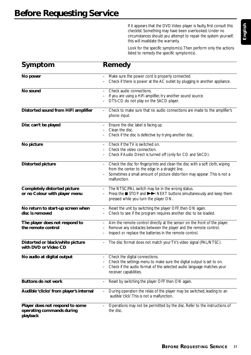If it appears that the DVD Video player is faulty, first consult this checklist. Something may have been overlooked. Under no circumstances should you attempt to repair the system yourself; this will invalidate the warranty.

Look for the specific symptom(s). Then perform only the actions listed to remedy the specific symptom(s).

| Symptom                                                                  | Remedy                                                                                                                                                                                                                              |
|--------------------------------------------------------------------------|-------------------------------------------------------------------------------------------------------------------------------------------------------------------------------------------------------------------------------------|
| No power                                                                 | Make sure the power cord is properly connected.<br>$\overline{\phantom{0}}$<br>Check if there is power at the AC outlet by plugging in another appliance.                                                                           |
| No sound                                                                 | Check audio connections.<br>If you are using a HiFi amplifier, try another sound source.<br>DTS-CD do not play on the SACD player.                                                                                                  |
| Distorted sound from HiFi amplifier                                      | Check to make sure that no audio connections are made to the amplifier's<br>phono input.                                                                                                                                            |
| Disc can't be played                                                     | Ensure the disc label is facing up.<br>Clean the disc.<br>Check if the disc is defective by trying another disc.                                                                                                                    |
| No picture                                                               | Check if the TV is switched on.<br>Check the video connection.<br>Check if Audio Direct is turned off (only for CD and SACD).                                                                                                       |
| <b>Distorted picture</b>                                                 | Check the disc for fingerprints and clean the disc with a soft cloth, wiping<br>from the center to the edge in a straight line.<br>Sometimes a small amount of picture distortion may appear . This is not a<br>malfunction.        |
| Completely distorted picture<br>or no Colour with player menu            | The NTSC/PAL switch may be in the wrong status.<br>Press the ■ STOP and ▶▶ NEXT buttons simultaneously and keep them<br>pressed while you turn the player ON.                                                                       |
| No return to start-up screen when<br>disc is removed                     | Reset the unit by switching the player OFF, then ON again.<br>$\qquad \qquad -$<br>Check to see if the program requires another disc to be loaded.                                                                                  |
| The player does not respond to<br>the remote control                     | Aim the remote control directly at the sensor on the front of the player.<br>$\overline{\phantom{0}}$<br>Remove any obstacles between the player and the remote control.<br>Inspect or replace the batteries in the remote control. |
| Distorted or black/white picture<br>with DVD or Video CD                 | The disc format does not match your TV's video signal (PAL/NTSC).                                                                                                                                                                   |
| No audio at digital output                                               | Check the digital connections.<br>Check the settings menu to make sure the digital output is set to on.<br>Check if the audio format of the selected audio language matches your<br>receiver capabilities.                          |
| <b>Buttons do not work</b>                                               | Reset by switching the player OFF then ON again.                                                                                                                                                                                    |
| Audible 'clicks' from player's internal                                  | During operation the relais of the player may be switched, leading to an<br>audible 'click'. This is not a malfunction.                                                                                                             |
| Player does not respond to some<br>operating commands during<br>playback | Operations may not be permitted by the disc. Refer to the instructions of<br>the disc.                                                                                                                                              |